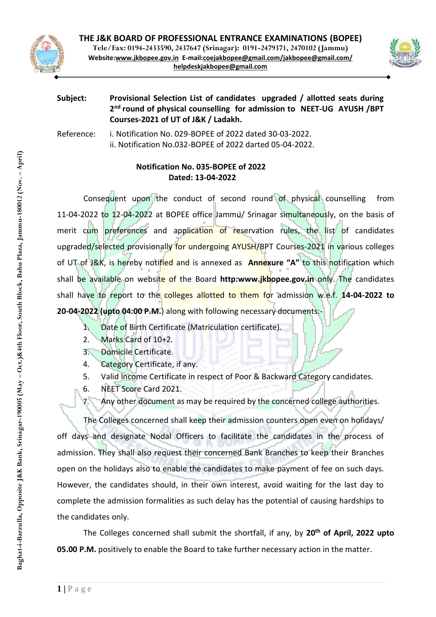



# **Subject: Provisional Selection List of candidates upgraded / allotted seats during 2 nd round of physical counselling for admission to NEET-UG AYUSH /BPT Courses-2021 of UT of J&K / Ladakh.**

Reference: i. Notification No. 029-BOPEE of 2022 dated 30-03-2022. ii. Notification No.032-BOPEE of 2022 darted 05-04-2022.

### **Notification No. 035-BOPEE of 2022 Dated: 13-04-2022**

Consequent upon the conduct of second round of physical counselling from 11-04-2022 to 12-04-2022 at BOPEE office Jammu/ Srinagar simultaneously, on the basis of merit cum preferences and application of reservation rules, the list of candidates upgraded/selected provisionally for undergoing AYUSH/BPT Courses-2021 in various colleges of UT of J&K, is hereby notified and is annexed as **Annexure "A"** to this notification which shall be available on website of the Board **http:www.jkbopee.gov.in** only. The candidates shall have to report to the colleges allotted to them for admission w.e.f. **14-04-2022 to 20-04-2022 (upto 04:00 P.M.**) along with following necessary documents:-

- 1. Date of Birth Certificate (Matriculation certificate).
- 2. Marks Card of 10+2.
- 3. Domicile Certificate.
- 4. Category Certificate, if any.
- 5. Valid Income Certificate in respect of Poor & Backward Category candidates.
- 6. NEET Score Card 2021.
- 7. Any other document as may be required by the concerned college authorities.

The Colleges concerned shall keep their admission counters open even on holidays/ off days and designate Nodal Officers to facilitate the candidates in the process of admission. They shall also request their concerned Bank Branches to keep their Branches open on the holidays also to enable the candidates to make payment of fee on such days. However, the candidates should, in their own interest, avoid waiting for the last day to complete the admission formalities as such delay has the potential of causing hardships to the candidates only.

The Colleges concerned shall submit the shortfall, if any, by **20th of April, 2022 upto 05.00 P.M.** positively to enable the Board to take further necessary action in the matter.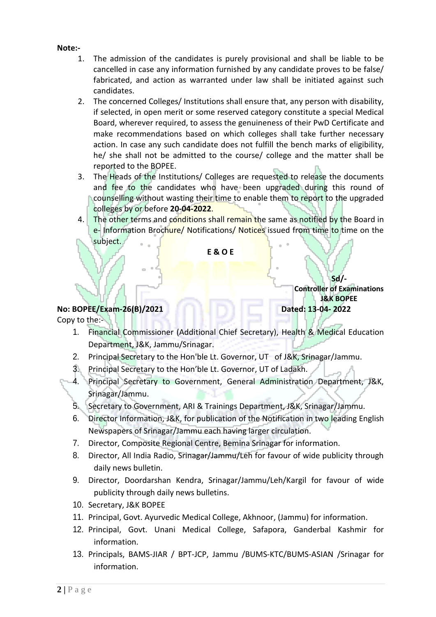### **Note:-**

- 1. The admission of the candidates is purely provisional and shall be liable to be cancelled in case any information furnished by any candidate proves to be false/ fabricated, and action as warranted under law shall be initiated against such candidates.
- 2. The concerned Colleges/ Institutions shall ensure that, any person with disability, if selected, in open merit or some reserved category constitute a special Medical Board, wherever required, to assess the genuineness of their PwD Certificate and make recommendations based on which colleges shall take further necessary action. In case any such candidate does not fulfill the bench marks of eligibility, he/ she shall not be admitted to the course/ college and the matter shall be reported to the BOPEE.
- 3. The Heads of the Institutions/ Colleges are requested to release the documents and fee to the candidates who have been upgraded during this round of counselling without wasting their time to enable them to report to the upgraded colleges by or before **20-04-2022**.
- 4. The other terms and conditions shall remain the same as notified by the Board in e- Information Brochure/ Notifications/ Notices issued from time to time on the subject.

**Sd/- Controller of Examinations J&K BOPEE**

**E & O E**

# **No: BOPEE/Exam-26(B)/2021 Dated: 13-04- 2022**

Copy to the:-

- 1. Financial Commissioner (Additional Chief Secretary), Health & Medical Education Department, J&K, Jammu/Srinagar.
- 2. Principal Secretary to the Hon'ble Lt. Governor, UT of J&K, Srinagar/Jammu.
- 3. Principal Secretary to the Hon'ble Lt. Governor, UT of Ladakh.
- 4. Principal Secretary to Government, General Administration Department, J&K, Srinagar/Jammu.
- 5. Secretary to Government, ARI & Trainings Department, J&K, Srinagar/Jammu.
- 6. Director Information, J&K, for publication of the Notification in two leading English Newspapers of Srinagar/Jammu each having larger circulation.
- 7. Director, Composite Regional Centre, Bemina Srinagar for information.
- 8. Director, All India Radio, Srinagar/Jammu/Leh for favour of wide publicity through daily news bulletin.
- 9. Director, Doordarshan Kendra, Srinagar/Jammu/Leh/Kargil for favour of wide publicity through daily news bulletins.
- 10. Secretary, J&K BOPEE
- 11. Principal, Govt. Ayurvedic Medical College, Akhnoor, (Jammu) for information.
- 12. Principal, Govt. Unani Medical College, Safapora, Ganderbal Kashmir for information.
- 13. Principals, BAMS-JIAR / BPT-JCP, Jammu /BUMS-KTC/BUMS-ASIAN /Srinagar for information.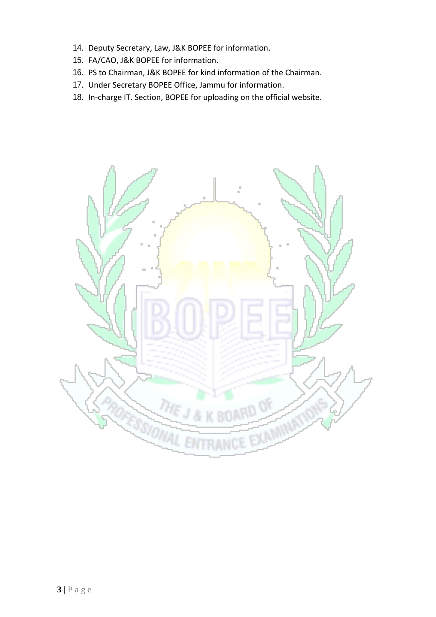- 14. Deputy Secretary, Law, J&K BOPEE for information.
- 15. FA/CAO, J&K BOPEE for information.
- 16. PS to Chairman, J&K BOPEE for kind information of the Chairman.
- 17. Under Secretary BOPEE Office, Jammu for information.
- 18. In-charge IT. Section, BOPEE for uploading on the official website.

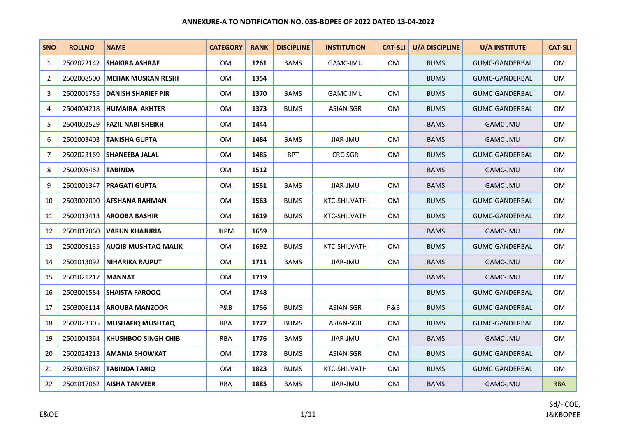| <b>SNO</b>     | <b>ROLLNO</b> | <b>NAME</b>                | <b>CATEGORY</b> | <b>RANK</b> | <b>DISCIPLINE</b> | <b>INSTITUTION</b> | <b>CAT-SLI</b> | <b>U/A DISCIPLINE</b> | <b>U/A INSTITUTE</b>  | <b>CAT-SLI</b> |
|----------------|---------------|----------------------------|-----------------|-------------|-------------------|--------------------|----------------|-----------------------|-----------------------|----------------|
| 1              | 2502022142    | <b>SHAKIRA ASHRAF</b>      | 0M              | 1261        | <b>BAMS</b>       | <b>GAMC-JMU</b>    | 0M             | <b>BUMS</b>           | GUMC-GANDERBAL        | 0M             |
| 2              | 2502008500    | <b>MEHAK MUSKAN RESHI</b>  | 0M              | 1354        |                   |                    |                | <b>BUMS</b>           | GUMC-GANDERBAL        | 0M             |
| 3              | 2502001785    | <b>DANISH SHARIEF PIR</b>  | <b>OM</b>       | 1370        | <b>BAMS</b>       | GAMC-JMU           | OM             | <b>BUMS</b>           | <b>GUMC-GANDERBAL</b> | OM             |
| 4              | 2504004218    | HUMAIRA AKHTER             | <b>OM</b>       | 1373        | <b>BUMS</b>       | ASIAN-SGR          | <b>OM</b>      | <b>BUMS</b>           | GUMC-GANDERBAL        | OM             |
| 5              | 2504002529    | <b>FAZIL NABI SHEIKH</b>   | 0M              | 1444        |                   |                    |                | <b>BAMS</b>           | GAMC-JMU              | 0M             |
| 6              | 2501003403    | <b>TANISHA GUPTA</b>       | ом              | 1484        | <b>BAMS</b>       | JIAR-JMU           | 0M             | <b>BAMS</b>           | <b>GAMC-JMU</b>       | 0M             |
| $\overline{7}$ | 2502023169    | <b>SHANEEBA JALAL</b>      | 0M              | 1485        | <b>BPT</b>        | CRC-SGR            | 0M             | <b>BUMS</b>           | GUMC-GANDERBAL        | OM             |
| 8              | 2502008462    | <b>TABINDA</b>             | 0M              | 1512        |                   |                    |                | <b>BAMS</b>           | <b>GAMC-JMU</b>       | <b>OM</b>      |
| 9              | 2501001347    | <b>PRAGATI GUPTA</b>       | <b>OM</b>       | 1551        | <b>BAMS</b>       | JIAR-JMU           | 0M             | <b>BAMS</b>           | <b>GAMC-JMU</b>       | 0M             |
| 10             | 2503007090    | <b>AFSHANA RAHMAN</b>      | 0M              | 1563        | <b>BUMS</b>       | KTC-SHILVATH       | 0M             | <b>BUMS</b>           | GUMC-GANDERBAL        | 0M             |
| 11             | 2502013413    | <b>AROOBA BASHIR</b>       | OМ              | 1619        | <b>BUMS</b>       | KTC-SHILVATH       | OM             | <b>BUMS</b>           | GUMC-GANDERBAL        | OM             |
| 12             | 2501017060    | <b>VARUN KHAJURIA</b>      | <b>JKPM</b>     | 1659        |                   |                    |                | <b>BAMS</b>           | <b>GAMC-JMU</b>       | OM             |
| 13             | 2502009135    | <b>AUQIB MUSHTAQ MALIK</b> | 0M              | 1692        | <b>BUMS</b>       | KTC-SHILVATH       | <b>OM</b>      | <b>BUMS</b>           | <b>GUMC-GANDERBAL</b> | <b>OM</b>      |
| 14             | 2501013092    | <b>NIHARIKA RAJPUT</b>     | 0M              | 1711        | <b>BAMS</b>       | JIAR-JMU           | 0M             | <b>BAMS</b>           | GAMC-JMU              | 0M             |
| 15             | 2501021217    | <b>MANNAT</b>              | OМ              | 1719        |                   |                    |                | <b>BAMS</b>           | GAMC-JMU              | 0M             |
| 16             | 2503001584    | <b>SHAISTA FAROOQ</b>      | 0M              | 1748        |                   |                    |                | <b>BUMS</b>           | <b>GUMC-GANDERBAL</b> | OM             |
| 17             | 2503008114    | <b>AROUBA MANZOOR</b>      | P&B             | 1756        | <b>BUMS</b>       | ASIAN-SGR          | P&B            | <b>BUMS</b>           | <b>GUMC-GANDERBAL</b> | 0M             |
| 18             | 2502023305    | <b>MUSHAFIQ MUSHTAQ</b>    | <b>RBA</b>      | 1772        | <b>BUMS</b>       | ASIAN-SGR          | 0M             | <b>BUMS</b>           | GUMC-GANDERBAL        | 0M             |
| 19             | 2501004364    | <b>KHUSHBOO SINGH CHIB</b> | RBA             | 1776        | <b>BAMS</b>       | JIAR-JMU           | OМ             | <b>BAMS</b>           | GAMC-JMU              | OM             |
| 20             | 2502024213    | <b>AMANIA SHOWKAT</b>      | 0M              | 1778        | <b>BUMS</b>       | ASIAN-SGR          | OM             | <b>BUMS</b>           | <b>GUMC-GANDERBAL</b> | OM             |
| 21             | 2503005087    | <b>TABINDA TARIQ</b>       | 0M              | 1823        | <b>BUMS</b>       | KTC-SHILVATH       | <b>OM</b>      | <b>BUMS</b>           | <b>GUMC-GANDERBAL</b> | OM             |
| 22             | 2501017062    | <b>AISHA TANVEER</b>       | <b>RBA</b>      | 1885        | <b>BAMS</b>       | JIAR-JMU           | 0M             | <b>BAMS</b>           | GAMC-JMU              | <b>RBA</b>     |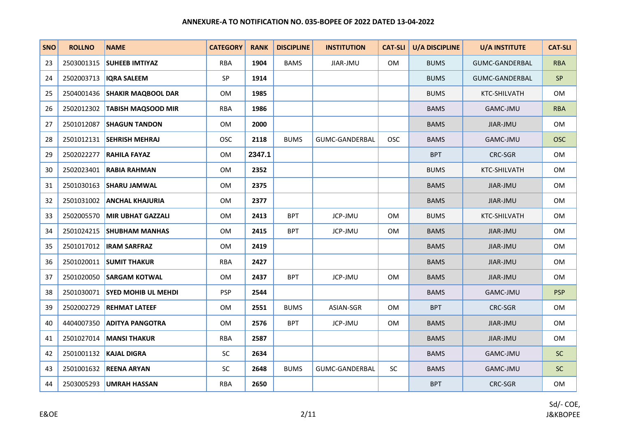| <b>SNO</b> | <b>ROLLNO</b> | <b>NAME</b>                | <b>CATEGORY</b> | <b>RANK</b> | <b>DISCIPLINE</b> | <b>INSTITUTION</b> | <b>CAT-SLI</b> | <b>U/A DISCIPLINE</b> | <b>U/A INSTITUTE</b>  | <b>CAT-SLI</b> |
|------------|---------------|----------------------------|-----------------|-------------|-------------------|--------------------|----------------|-----------------------|-----------------------|----------------|
| 23         | 2503001315    | <b>SUHEEB IMTIYAZ</b>      | <b>RBA</b>      | 1904        | <b>BAMS</b>       | JIAR-JMU           | <b>OM</b>      | <b>BUMS</b>           | <b>GUMC-GANDERBAL</b> | <b>RBA</b>     |
| 24         | 2502003713    | <b>IORA SALEEM</b>         | <b>SP</b>       | 1914        |                   |                    |                | <b>BUMS</b>           | GUMC-GANDERBAL        | <b>SP</b>      |
| 25         | 2504001436    | <b>SHAKIR MAQBOOL DAR</b>  | <b>OM</b>       | 1985        |                   |                    |                | <b>BUMS</b>           | KTC-SHILVATH          | <b>OM</b>      |
| 26         | 2502012302    | <b>TABISH MAQSOOD MIR</b>  | <b>RBA</b>      | 1986        |                   |                    |                | <b>BAMS</b>           | GAMC-JMU              | <b>RBA</b>     |
| 27         | 2501012087    | <b>SHAGUN TANDON</b>       | <b>OM</b>       | 2000        |                   |                    |                | <b>BAMS</b>           | JIAR-JMU              | OM             |
| 28         |               | 2501012131 SEHRISH MEHRAJ  | <b>OSC</b>      | 2118        | <b>BUMS</b>       | GUMC-GANDERBAL     | <b>OSC</b>     | <b>BAMS</b>           | <b>GAMC-JMU</b>       | <b>OSC</b>     |
| 29         | 2502022277    | <b>RAHILA FAYAZ</b>        | <b>OM</b>       | 2347.1      |                   |                    |                | BPT                   | <b>CRC-SGR</b>        | 0M             |
| 30         | 2502023401    | <b>RABIA RAHMAN</b>        | <b>OM</b>       | 2352        |                   |                    |                | <b>BUMS</b>           | KTC-SHILVATH          | <b>OM</b>      |
| 31         | 2501030163    | <b>SHARU JAMWAL</b>        | <b>OM</b>       | 2375        |                   |                    |                | <b>BAMS</b>           | JIAR-JMU              | 0M             |
| 32         | 2501031002    | <b>ANCHAL KHAJURIA</b>     | 0M              | 2377        |                   |                    |                | <b>BAMS</b>           | JIAR-JMU              | 0M             |
| 33         | 2502005570    | <b>MIR UBHAT GAZZALI</b>   | 0M              | 2413        | <b>BPT</b>        | JCP-JMU            | 0M             | <b>BUMS</b>           | KTC-SHILVATH          | OM             |
| 34         | 2501024215    | <b>SHUBHAM MANHAS</b>      | OM              | 2415        | <b>BPT</b>        | JCP-JMU            | OM             | <b>BAMS</b>           | JIAR-JMU              | OM             |
| 35         |               | 2501017012  IRAM SARFRAZ   | <b>OM</b>       | 2419        |                   |                    |                | <b>BAMS</b>           | JIAR-JMU              | <b>OM</b>      |
| 36         |               | 2501020011 SUMIT THAKUR    | <b>RBA</b>      | 2427        |                   |                    |                | <b>BAMS</b>           | JIAR-JMU              | 0M             |
| 37         | 2501020050    | <b>SARGAM KOTWAL</b>       | 0M              | 2437        | <b>BPT</b>        | <b>JCP-JMU</b>     | 0M             | <b>BAMS</b>           | JIAR-JMU              | <b>OM</b>      |
| 38         | 2501030071    | <b>SYED MOHIB UL MEHDI</b> | <b>PSP</b>      | 2544        |                   |                    |                | <b>BAMS</b>           | GAMC-JMU              | <b>PSP</b>     |
| 39         | 2502002729    | <b>REHMAT LATEEF</b>       | OM              | 2551        | <b>BUMS</b>       | ASIAN-SGR          | OM             | <b>BPT</b>            | <b>CRC-SGR</b>        | OM             |
| 40         | 4404007350    | <b>ADITYA PANGOTRA</b>     | OM              | 2576        | <b>BPT</b>        | JCP-JMU            | OM             | <b>BAMS</b>           | JIAR-JMU              | OM             |
| 41         | 2501027014    | <b>MANSI THAKUR</b>        | <b>RBA</b>      | 2587        |                   |                    |                | <b>BAMS</b>           | JIAR-JMU              | OM             |
| 42         | 2501001132    | <b>KAJAL DIGRA</b>         | <b>SC</b>       | 2634        |                   |                    |                | <b>BAMS</b>           | GAMC-JMU              | <b>SC</b>      |
| 43         | 2501001632    | <b>REENA ARYAN</b>         | <b>SC</b>       | 2648        | <b>BUMS</b>       | GUMC-GANDERBAL     | SC             | <b>BAMS</b>           | GAMC-JMU              | <b>SC</b>      |
| 44         | 2503005293    | <b>UMRAH HASSAN</b>        | <b>RBA</b>      | 2650        |                   |                    |                | <b>BPT</b>            | <b>CRC-SGR</b>        | OM             |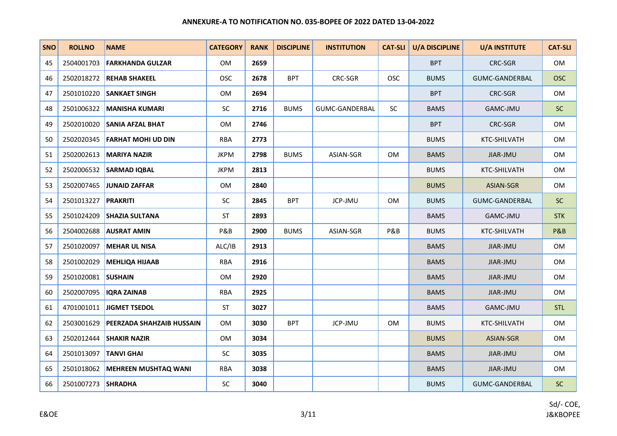| <b>SNO</b> | <b>ROLLNO</b> | <b>NAME</b>                      | <b>CATEGORY</b> | <b>RANK</b> | <b>DISCIPLINE</b> | <b>INSTITUTION</b> | <b>CAT-SLI</b> | <b>U/A DISCIPLINE</b> | <b>U/A INSTITUTE</b>  | <b>CAT-SLI</b> |
|------------|---------------|----------------------------------|-----------------|-------------|-------------------|--------------------|----------------|-----------------------|-----------------------|----------------|
| 45         | 2504001703    | <b>FARKHANDA GULZAR</b>          | <b>OM</b>       | 2659        |                   |                    |                | <b>BPT</b>            | <b>CRC-SGR</b>        | <b>OM</b>      |
| 46         | 2502018272    | <b>REHAB SHAKEEL</b>             | <b>OSC</b>      | 2678        | <b>BPT</b>        | CRC-SGR            | <b>OSC</b>     | <b>BUMS</b>           | <b>GUMC-GANDERBAL</b> | <b>OSC</b>     |
| 47         | 2501010220    | <b>SANKAET SINGH</b>             | <b>OM</b>       | 2694        |                   |                    |                | <b>BPT</b>            | <b>CRC-SGR</b>        | <b>OM</b>      |
| 48         | 2501006322    | <b>MANISHA KUMARI</b>            | SC              | 2716        | <b>BUMS</b>       | GUMC-GANDERBAL     | <b>SC</b>      | <b>BAMS</b>           | <b>GAMC-JMU</b>       | <b>SC</b>      |
| 49         | 2502010020    | <b>SANIA AFZAL BHAT</b>          | <b>OM</b>       | 2746        |                   |                    |                | <b>BPT</b>            | <b>CRC-SGR</b>        | <b>OM</b>      |
| 50         | 2502020345    | <b>FARHAT MOHI UD DIN</b>        | <b>RBA</b>      | 2773        |                   |                    |                | <b>BUMS</b>           | KTC-SHILVATH          | 0M             |
| 51         | 2502002613    | <b>MARIYA NAZIR</b>              | <b>JKPM</b>     | 2798        | <b>BUMS</b>       | ASIAN-SGR          | <b>OM</b>      | <b>BAMS</b>           | JIAR-JMU              | OM             |
| 52         | 2502006532    | <b>SARMAD IQBAL</b>              | <b>JKPM</b>     | 2813        |                   |                    |                | <b>BUMS</b>           | KTC-SHILVATH          | OM             |
| 53         | 2502007465    | <b>JUNAID ZAFFAR</b>             | <b>OM</b>       | 2840        |                   |                    |                | <b>BUMS</b>           | ASIAN-SGR             | OM             |
| 54         | 2501013227    | PRAKRITI                         | SC              | 2845        | <b>BPT</b>        | JCP-JMU            | OM             | <b>BUMS</b>           | <b>GUMC-GANDERBAL</b> | <b>SC</b>      |
| 55         | 2501024209    | <b>SHAZIA SULTANA</b>            | ST              | 2893        |                   |                    |                | <b>BAMS</b>           | GAMC-JMU              | <b>STK</b>     |
| 56         | 2504002688    | <b>AUSRAT AMIN</b>               | P&B             | 2900        | <b>BUMS</b>       | ASIAN-SGR          | P&B            | <b>BUMS</b>           | KTC-SHILVATH          | P&B            |
| 57         | 2501020097    | <b>MEHAR UL NISA</b>             | ALC/IB          | 2913        |                   |                    |                | <b>BAMS</b>           | JIAR-JMU              | OM             |
| 58         | 2501002029    | <b>MEHLIQA HIJAAB</b>            | <b>RBA</b>      | 2916        |                   |                    |                | <b>BAMS</b>           | JIAR-JMU              | 0M             |
| 59         | 2501020081    | <b>SUSHAIN</b>                   | <b>OM</b>       | 2920        |                   |                    |                | <b>BAMS</b>           | JIAR-JMU              | 0M             |
| 60         | 2502007095    | <b>IQRA ZAINAB</b>               | <b>RBA</b>      | 2925        |                   |                    |                | <b>BAMS</b>           | JIAR-JMU              | OM             |
| 61         | 4701001011    | <b>JIGMET TSEDOL</b>             | ST              | 3027        |                   |                    |                | <b>BAMS</b>           | <b>GAMC-JMU</b>       | <b>STL</b>     |
| 62         | 2503001629    | <b>PEERZADA SHAHZAIB HUSSAIN</b> | 0M              | 3030        | <b>BPT</b>        | <b>JCP-JMU</b>     | 0M             | <b>BUMS</b>           | KTC-SHILVATH          | <b>OM</b>      |
| 63         | 2502012444    | <b>SHAKIR NAZIR</b>              | 0M              | 3034        |                   |                    |                | <b>BUMS</b>           | ASIAN-SGR             | OM             |
| 64         | 2501013097    | <b>TANVI GHAI</b>                | SC              | 3035        |                   |                    |                | <b>BAMS</b>           | JIAR-JMU              | OM             |
| 65         | 2501018062    | MEHREEN MUSHTAQ WANI             | <b>RBA</b>      | 3038        |                   |                    |                | <b>BAMS</b>           | JIAR-JMU              | OM             |
| 66         | 2501007273    | <b>SHRADHA</b>                   | <b>SC</b>       | 3040        |                   |                    |                | <b>BUMS</b>           | GUMC-GANDERBAL        | <b>SC</b>      |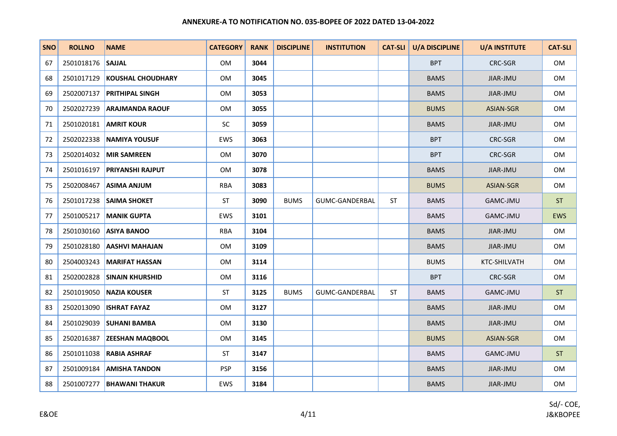| <b>SNO</b> | <b>ROLLNO</b>     | <b>NAME</b>                  | <b>CATEGORY</b> | <b>RANK</b> | <b>DISCIPLINE</b> | <b>INSTITUTION</b>    | <b>CAT-SLI</b> | <b>U/A DISCIPLINE</b> | <b>U/A INSTITUTE</b> | <b>CAT-SLI</b> |
|------------|-------------------|------------------------------|-----------------|-------------|-------------------|-----------------------|----------------|-----------------------|----------------------|----------------|
| 67         | 2501018176 SAJJAL |                              | <b>OM</b>       | 3044        |                   |                       |                | <b>BPT</b>            | <b>CRC-SGR</b>       | <b>OM</b>      |
| 68         | 2501017129        | <b>KOUSHAL CHOUDHARY</b>     | 0M              | 3045        |                   |                       |                | <b>BAMS</b>           | JIAR-JMU             | OM             |
| 69         | 2502007137        | <b>PRITHIPAL SINGH</b>       | <b>OM</b>       | 3053        |                   |                       |                | <b>BAMS</b>           | JIAR-JMU             | <b>OM</b>      |
| 70         | 2502027239        | <b>ARAJMANDA RAOUF</b>       | <b>OM</b>       | 3055        |                   |                       |                | <b>BUMS</b>           | <b>ASIAN-SGR</b>     | <b>OM</b>      |
| 71         |                   | 2501020181 <b>AMRIT KOUR</b> | <b>SC</b>       | 3059        |                   |                       |                | <b>BAMS</b>           | JIAR-JMU             | <b>OM</b>      |
| 72         | 2502022338        | <b>NAMIYA YOUSUF</b>         | <b>EWS</b>      | 3063        |                   |                       |                | <b>BPT</b>            | CRC-SGR              | 0M             |
| 73         | 2502014032        | <b>MIR SAMREEN</b>           | <b>OM</b>       | 3070        |                   |                       |                | BPT                   | <b>CRC-SGR</b>       | <b>OM</b>      |
| 74         | 2501016197        | <b>PRIYANSHI RAJPUT</b>      | <b>OM</b>       | 3078        |                   |                       |                | <b>BAMS</b>           | JIAR-JMU             | OM             |
| 75         | 2502008467        | <b>ASIMA ANJUM</b>           | <b>RBA</b>      | 3083        |                   |                       |                | <b>BUMS</b>           | ASIAN-SGR            | <b>OM</b>      |
| 76         | 2501017238        | <b>SAIMA SHOKET</b>          | ST              | 3090        | <b>BUMS</b>       | <b>GUMC-GANDERBAL</b> | ST             | <b>BAMS</b>           | <b>GAMC-JMU</b>      | <b>ST</b>      |
| 77         | 2501005217        | <b>MANIK GUPTA</b>           | <b>EWS</b>      | 3101        |                   |                       |                | <b>BAMS</b>           | <b>GAMC-JMU</b>      | <b>EWS</b>     |
| 78         | 2501030160        | <b>ASIYA BANOO</b>           | <b>RBA</b>      | 3104        |                   |                       |                | <b>BAMS</b>           | JIAR-JMU             | <b>OM</b>      |
| 79         | 2501028180        | <b>AASHVI MAHAJAN</b>        | <b>OM</b>       | 3109        |                   |                       |                | <b>BAMS</b>           | JIAR-JMU             | <b>OM</b>      |
| 80         | 2504003243        | <b>MARIFAT HASSAN</b>        | <b>OM</b>       | 3114        |                   |                       |                | <b>BUMS</b>           | KTC-SHILVATH         | <b>OM</b>      |
| 81         | 2502002828        | <b>SINAIN KHURSHID</b>       | <b>OM</b>       | 3116        |                   |                       |                | BPT                   | <b>CRC-SGR</b>       | <b>OM</b>      |
| 82         | 2501019050        | <b>NAZIA KOUSER</b>          | <b>ST</b>       | 3125        | <b>BUMS</b>       | GUMC-GANDERBAL        | ST.            | <b>BAMS</b>           | <b>GAMC-JMU</b>      | <b>ST</b>      |
| 83         | 2502013090        | <b>ISHRAT FAYAZ</b>          | OM              | 3127        |                   |                       |                | <b>BAMS</b>           | JIAR-JMU             | OM             |
| 84         | 2501029039        | <b>SUHANI BAMBA</b>          | <b>OM</b>       | 3130        |                   |                       |                | <b>BAMS</b>           | JIAR-JMU             | <b>OM</b>      |
| 85         | 2502016387        | <b>ZEESHAN MAQBOOL</b>       | <b>OM</b>       | 3145        |                   |                       |                | <b>BUMS</b>           | <b>ASIAN-SGR</b>     | <b>OM</b>      |
| 86         | 2501011038        | <b>RABIA ASHRAF</b>          | <b>ST</b>       | 3147        |                   |                       |                | <b>BAMS</b>           | <b>GAMC-JMU</b>      | <b>ST</b>      |
| 87         | 2501009184        | <b>AMISHA TANDON</b>         | <b>PSP</b>      | 3156        |                   |                       |                | <b>BAMS</b>           | JIAR-JMU             | OM             |
| 88         |                   | 2501007277 BHAWANI THAKUR    | <b>EWS</b>      | 3184        |                   |                       |                | <b>BAMS</b>           | JIAR-JMU             | <b>OM</b>      |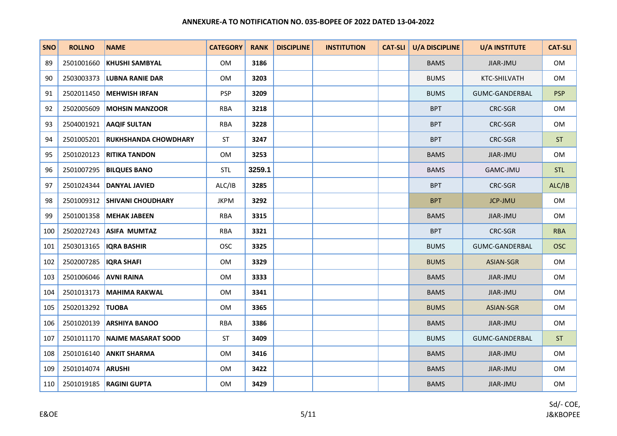| <b>SNO</b> | <b>ROLLNO</b>    | <b>NAME</b>                     | <b>CATEGORY</b> | <b>RANK</b> | <b>DISCIPLINE</b> | <b>INSTITUTION</b> | <b>CAT-SLI</b> | <b>U/A DISCIPLINE</b> | <b>U/A INSTITUTE</b>  | <b>CAT-SLI</b> |
|------------|------------------|---------------------------------|-----------------|-------------|-------------------|--------------------|----------------|-----------------------|-----------------------|----------------|
| 89         | 2501001660       | <b>KHUSHI SAMBYAL</b>           | 0M              | 3186        |                   |                    |                | <b>BAMS</b>           | JIAR-JMU              | 0M             |
| 90         | 2503003373       | <b>LUBNA RANIE DAR</b>          | 0M              | 3203        |                   |                    |                | <b>BUMS</b>           | KTC-SHILVATH          | OM             |
| 91         | 2502011450       | <b>MEHWISH IRFAN</b>            | <b>PSP</b>      | 3209        |                   |                    |                | <b>BUMS</b>           | <b>GUMC-GANDERBAL</b> | <b>PSP</b>     |
| 92         | 2502005609       | <b>MOHSIN MANZOOR</b>           | <b>RBA</b>      | 3218        |                   |                    |                | <b>BPT</b>            | <b>CRC-SGR</b>        | 0M             |
| 93         | 2504001921       | <b>AAQIF SULTAN</b>             | <b>RBA</b>      | 3228        |                   |                    |                | <b>BPT</b>            | <b>CRC-SGR</b>        | <b>OM</b>      |
| 94         |                  | 2501005201 RUKHSHANDA CHOWDHARY | ST              | 3247        |                   |                    |                | <b>BPT</b>            | <b>CRC-SGR</b>        | ST.            |
| 95         | 2501020123       | <b>RITIKA TANDON</b>            | 0M              | 3253        |                   |                    |                | <b>BAMS</b>           | JIAR-JMU              | <b>OM</b>      |
| 96         | 2501007295       | <b>BILQUES BANO</b>             | STL             | 3259.1      |                   |                    |                | <b>BAMS</b>           | GAMC-JMU              | <b>STL</b>     |
| 97         | 2501024344       | DANYAL JAVIED                   | ALC/IB          | 3285        |                   |                    |                | <b>BPT</b>            | <b>CRC-SGR</b>        | ALC/IB         |
| 98         | 2501009312       | <b>SHIVANI CHOUDHARY</b>        | JKPM            | 3292        |                   |                    |                | <b>BPT</b>            | JCP-JMU               | OM             |
| 99         | 2501001358       | <b>MEHAK JABEEN</b>             | <b>RBA</b>      | 3315        |                   |                    |                | <b>BAMS</b>           | JIAR-JMU              | 0M             |
| 100        | 2502027243       | <b>ASIFA MUMTAZ</b>             | <b>RBA</b>      | 3321        |                   |                    |                | <b>BPT</b>            | <b>CRC-SGR</b>        | <b>RBA</b>     |
| 101        | 2503013165       | <b>IQRA BASHIR</b>              | OSC             | 3325        |                   |                    |                | <b>BUMS</b>           | <b>GUMC-GANDERBAL</b> | <b>OSC</b>     |
| 102        | 2502007285       | <b>IQRA SHAFI</b>               | 0M              | 3329        |                   |                    |                | <b>BUMS</b>           | ASIAN-SGR             | 0M             |
| 103        | 2501006046       | <b>AVNI RAINA</b>               | 0M              | 3333        |                   |                    |                | <b>BAMS</b>           | JIAR-JMU              | 0M             |
| 104        | 2501013173       | <b>MAHIMA RAKWAL</b>            | 0M              | 3341        |                   |                    |                | <b>BAMS</b>           | JIAR-JMU              | OM             |
| 105        | 2502013292 TUOBA |                                 | <b>OM</b>       | 3365        |                   |                    |                | <b>BUMS</b>           | ASIAN-SGR             | OM             |
| 106        | 2501020139       | <b>ARSHIYA BANOO</b>            | <b>RBA</b>      | 3386        |                   |                    |                | <b>BAMS</b>           | JIAR-JMU              | 0M             |
| 107        | 2501011170       | NAJME MASARAT SOOD              | <b>ST</b>       | 3409        |                   |                    |                | <b>BUMS</b>           | GUMC-GANDERBAL        | <b>ST</b>      |
| 108        | 2501016140       | <b>ANKIT SHARMA</b>             | OМ              | 3416        |                   |                    |                | <b>BAMS</b>           | JIAR-JMU              | OM             |
| 109        | 2501014074       | <b>ARUSHI</b>                   | 0M              | 3422        |                   |                    |                | <b>BAMS</b>           | JIAR-JMU              | OM             |
| 110        |                  | 2501019185 RAGINI GUPTA         | OМ              | 3429        |                   |                    |                | <b>BAMS</b>           | JIAR-JMU              | 0M             |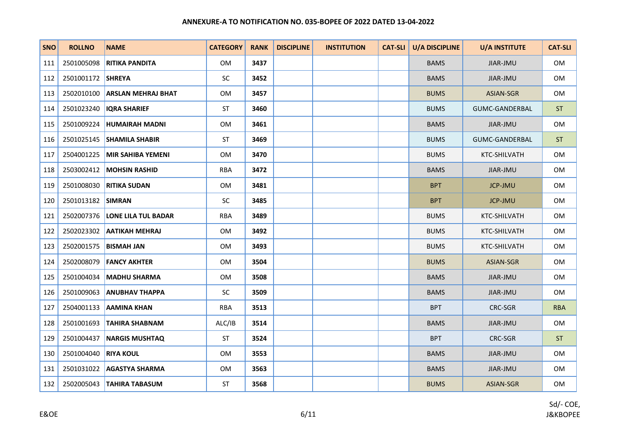| <b>SNO</b> | <b>ROLLNO</b>     | <b>NAME</b>                | <b>CATEGORY</b> | <b>RANK</b> | <b>DISCIPLINE</b> | <b>INSTITUTION</b> | <b>CAT-SLI</b> | <b>U/A DISCIPLINE</b> | <b>U/A INSTITUTE</b> | <b>CAT-SLI</b> |
|------------|-------------------|----------------------------|-----------------|-------------|-------------------|--------------------|----------------|-----------------------|----------------------|----------------|
| 111        | 2501005098        | <b>RITIKA PANDITA</b>      | <b>OM</b>       | 3437        |                   |                    |                | <b>BAMS</b>           | JIAR-JMU             | 0M             |
| 112        | 2501001172 SHREYA |                            | <b>SC</b>       | 3452        |                   |                    |                | <b>BAMS</b>           | JIAR-JMU             | OM             |
| 113        | 2502010100        | <b>ARSLAN MEHRAJ BHAT</b>  | <b>OM</b>       | 3457        |                   |                    |                | <b>BUMS</b>           | ASIAN-SGR            | OM             |
| 114        | 2501023240        | <b>IQRA SHARIEF</b>        | <b>ST</b>       | 3460        |                   |                    |                | <b>BUMS</b>           | GUMC-GANDERBAL       | <b>ST</b>      |
| 115        | 2501009224        | <b>HUMAIRAH MADNI</b>      | <b>OM</b>       | 3461        |                   |                    |                | <b>BAMS</b>           | JIAR-JMU             | OM             |
| 116        |                   | 2501025145 SHAMILA SHABIR  | ST              | 3469        |                   |                    |                | <b>BUMS</b>           | GUMC-GANDERBAL       | <b>ST</b>      |
| 117        | 2504001225        | <b>MIR SAHIBA YEMENI</b>   | 0M              | 3470        |                   |                    |                | <b>BUMS</b>           | KTC-SHILVATH         | 0M             |
| 118        | 2503002412        | <b>MOHSIN RASHID</b>       | <b>RBA</b>      | 3472        |                   |                    |                | <b>BAMS</b>           | JIAR-JMU             | OM             |
| 119        | 2501008030        | <b>RITIKA SUDAN</b>        | <b>OM</b>       | 3481        |                   |                    |                | <b>BPT</b>            | <b>JCP-JMU</b>       | 0M             |
| 120        | 2501013182        | <b>SIMRAN</b>              | <b>SC</b>       | 3485        |                   |                    |                | <b>BPT</b>            | <b>JCP-JMU</b>       | OM             |
| 121        | 2502007376        | <b>LONE LILA TUL BADAR</b> | <b>RBA</b>      | 3489        |                   |                    |                | <b>BUMS</b>           | KTC-SHILVATH         | 0M             |
| 122        |                   | 2502023302 AATIKAH MEHRAJ  | 0M              | 3492        |                   |                    |                | <b>BUMS</b>           | KTC-SHILVATH         | 0M             |
| 123        | 2502001575        | <b>BISMAH JAN</b>          | <b>OM</b>       | 3493        |                   |                    |                | <b>BUMS</b>           | KTC-SHILVATH         | <b>OM</b>      |
| 124        | 2502008079        | <b>FANCY AKHTER</b>        | 0M              | 3504        |                   |                    |                | <b>BUMS</b>           | ASIAN-SGR            | 0M             |
| 125        | 2501004034        | <b>MADHU SHARMA</b>        | 0M              | 3508        |                   |                    |                | <b>BAMS</b>           | JIAR-JMU             | 0M             |
| 126        | 2501009063        | <b>ANUBHAV THAPPA</b>      | SC              | 3509        |                   |                    |                | <b>BAMS</b>           | JIAR-JMU             | OM             |
| 127        |                   | 2504001133 AAMINA KHAN     | <b>RBA</b>      | 3513        |                   |                    |                | <b>BPT</b>            | <b>CRC-SGR</b>       | <b>RBA</b>     |
| 128        | 2501001693        | <b>TAHIRA SHABNAM</b>      | ALC/IB          | 3514        |                   |                    |                | <b>BAMS</b>           | JIAR-JMU             | <b>OM</b>      |
| 129        | 2501004437        | <b>NARGIS MUSHTAQ</b>      | <b>ST</b>       | 3524        |                   |                    |                | <b>BPT</b>            | <b>CRC-SGR</b>       | <b>ST</b>      |
| 130        | 2501004040        | <b>RIYA KOUL</b>           | 0M              | 3553        |                   |                    |                | <b>BAMS</b>           | JIAR-JMU             | OM             |
| 131        | 2501031022        | <b>AGASTYA SHARMA</b>      | OM              | 3563        |                   |                    |                | <b>BAMS</b>           | JIAR-JMU             | OM             |
| 132        | 2502005043        | <b>TAHIRA TABASUM</b>      | ST              | 3568        |                   |                    |                | <b>BUMS</b>           | ASIAN-SGR            | 0M             |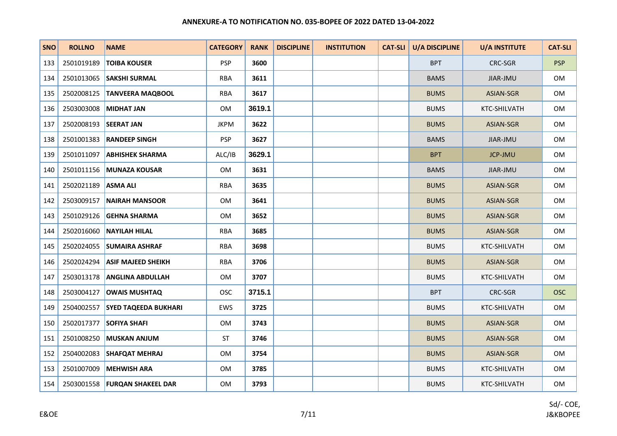| <b>SNO</b> | <b>ROLLNO</b> | <b>NAME</b>                     | <b>CATEGORY</b> | <b>RANK</b> | <b>DISCIPLINE</b> | <b>INSTITUTION</b> | <b>CAT-SLI</b> | <b>U/A DISCIPLINE</b> | <b>U/A INSTITUTE</b> | <b>CAT-SLI</b> |
|------------|---------------|---------------------------------|-----------------|-------------|-------------------|--------------------|----------------|-----------------------|----------------------|----------------|
| 133        | 2501019189    | <b>TOIBA KOUSER</b>             | <b>PSP</b>      | 3600        |                   |                    |                | <b>BPT</b>            | <b>CRC-SGR</b>       | <b>PSP</b>     |
| 134        | 2501013065    | <b>SAKSHI SURMAL</b>            | <b>RBA</b>      | 3611        |                   |                    |                | <b>BAMS</b>           | JIAR-JMU             | OM             |
| 135        | 2502008125    | <b>TANVEERA MAQBOOL</b>         | <b>RBA</b>      | 3617        |                   |                    |                | <b>BUMS</b>           | <b>ASIAN-SGR</b>     | <b>OM</b>      |
| 136        | 2503003008    | <b>MIDHAT JAN</b>               | <b>OM</b>       | 3619.1      |                   |                    |                | <b>BUMS</b>           | KTC-SHILVATH         | <b>OM</b>      |
| 137        | 2502008193    | <b>SEERAT JAN</b>               | <b>JKPM</b>     | 3622        |                   |                    |                | <b>BUMS</b>           | <b>ASIAN-SGR</b>     | <b>OM</b>      |
| 138        | 2501001383    | <b>RANDEEP SINGH</b>            | <b>PSP</b>      | 3627        |                   |                    |                | <b>BAMS</b>           | JIAR-JMU             | <b>OM</b>      |
| 139        | 2501011097    | <b>ABHISHEK SHARMA</b>          | ALC/IB          | 3629.1      |                   |                    |                | <b>BPT</b>            | <b>JCP-JMU</b>       | <b>OM</b>      |
| 140        | 2501011156    | <b>MUNAZA KOUSAR</b>            | OM              | 3631        |                   |                    |                | <b>BAMS</b>           | JIAR-JMU             | <b>OM</b>      |
| 141        | 2502021189    | <b>ASMA ALI</b>                 | <b>RBA</b>      | 3635        |                   |                    |                | <b>BUMS</b>           | ASIAN-SGR            | OM             |
| 142        | 2503009157    | <b>NAIRAH MANSOOR</b>           | <b>OM</b>       | 3641        |                   |                    |                | <b>BUMS</b>           | <b>ASIAN-SGR</b>     | OM             |
| 143        | 2501029126    | <b>GEHNA SHARMA</b>             | <b>OM</b>       | 3652        |                   |                    |                | <b>BUMS</b>           | <b>ASIAN-SGR</b>     | <b>OM</b>      |
| 144        | 2502016060    | <b>NAYILAH HILAL</b>            | <b>RBA</b>      | 3685        |                   |                    |                | <b>BUMS</b>           | ASIAN-SGR            | <b>OM</b>      |
| 145        | 2502024055    | <b>SUMAIRA ASHRAF</b>           | <b>RBA</b>      | 3698        |                   |                    |                | <b>BUMS</b>           | KTC-SHILVATH         | OM             |
| 146        | 2502024294    | <b>ASIF MAJEED SHEIKH</b>       | <b>RBA</b>      | 3706        |                   |                    |                | <b>BUMS</b>           | <b>ASIAN-SGR</b>     | <b>OM</b>      |
| 147        | 2503013178    | <b>ANGLINA ABDULLAH</b>         | <b>OM</b>       | 3707        |                   |                    |                | <b>BUMS</b>           | KTC-SHILVATH         | <b>OM</b>      |
| 148        | 2503004127    | <b>OWAIS MUSHTAQ</b>            | <b>OSC</b>      | 3715.1      |                   |                    |                | <b>BPT</b>            | CRC-SGR              | <b>OSC</b>     |
| 149        |               | 2504002557 SYED TAQEEDA BUKHARI | <b>EWS</b>      | 3725        |                   |                    |                | <b>BUMS</b>           | KTC-SHILVATH         | OM             |
| 150        | 2502017377    | <b>SOFIYA SHAFI</b>             | 0M              | 3743        |                   |                    |                | <b>BUMS</b>           | <b>ASIAN-SGR</b>     | <b>OM</b>      |
| 151        | 2501008250    | <b>MUSKAN ANJUM</b>             | <b>ST</b>       | 3746        |                   |                    |                | <b>BUMS</b>           | <b>ASIAN-SGR</b>     | <b>OM</b>      |
| 152        | 2504002083    | <b>SHAFQAT MEHRAJ</b>           | OM              | 3754        |                   |                    |                | <b>BUMS</b>           | <b>ASIAN-SGR</b>     | OM             |
| 153        | 2501007009    | <b>MEHWISH ARA</b>              | <b>OM</b>       | 3785        |                   |                    |                | <b>BUMS</b>           | KTC-SHILVATH         | 0M             |
| 154        |               | 2503001558 FURQAN SHAKEEL DAR   | 0M              | 3793        |                   |                    |                | <b>BUMS</b>           | KTC-SHILVATH         | <b>OM</b>      |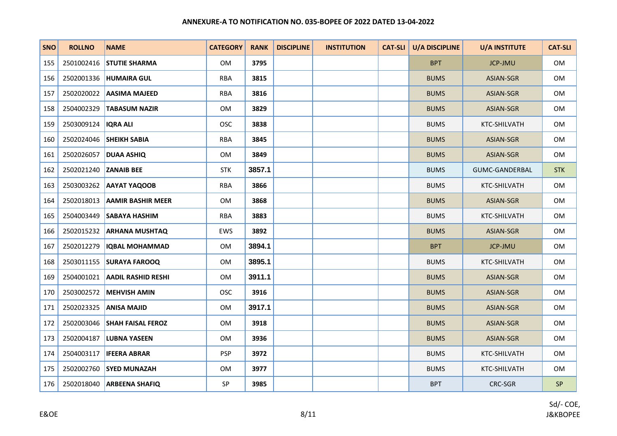| <b>SNO</b> | <b>ROLLNO</b> | <b>NAME</b>               | <b>CATEGORY</b> | <b>RANK</b> | <b>DISCIPLINE</b> | <b>INSTITUTION</b> | <b>CAT-SLI</b> | <b>U/A DISCIPLINE</b> | <b>U/A INSTITUTE</b> | <b>CAT-SLI</b> |
|------------|---------------|---------------------------|-----------------|-------------|-------------------|--------------------|----------------|-----------------------|----------------------|----------------|
| 155        | 2501002416    | <b>STUTIE SHARMA</b>      | OM              | 3795        |                   |                    |                | <b>BPT</b>            | <b>JCP-JMU</b>       | OM             |
| 156        | 2502001336    | <b>HUMAIRA GUL</b>        | <b>RBA</b>      | 3815        |                   |                    |                | <b>BUMS</b>           | <b>ASIAN-SGR</b>     | <b>OM</b>      |
| 157        |               | 2502020022 AASIMA MAJEED  | <b>RBA</b>      | 3816        |                   |                    |                | <b>BUMS</b>           | ASIAN-SGR            | <b>OM</b>      |
| 158        | 2504002329    | <b>TABASUM NAZIR</b>      | 0M              | 3829        |                   |                    |                | <b>BUMS</b>           | <b>ASIAN-SGR</b>     | OM             |
| 159        | 2503009124    | <b>IQRA ALI</b>           | <b>OSC</b>      | 3838        |                   |                    |                | <b>BUMS</b>           | KTC-SHILVATH         | <b>OM</b>      |
| 160        | 2502024046    | <b>SHEIKH SABIA</b>       | <b>RBA</b>      | 3845        |                   |                    |                | <b>BUMS</b>           | ASIAN-SGR            | <b>OM</b>      |
| 161        | 2502026057    | <b>DUAA ASHIQ</b>         | 0M              | 3849        |                   |                    |                | <b>BUMS</b>           | <b>ASIAN-SGR</b>     | OM             |
| 162        | 2502021240    | <b>ZANAIB BEE</b>         | <b>STK</b>      | 3857.1      |                   |                    |                | <b>BUMS</b>           | GUMC-GANDERBAL       | <b>STK</b>     |
| 163        |               | 2503003262 AAYAT YAQOOB   | <b>RBA</b>      | 3866        |                   |                    |                | <b>BUMS</b>           | KTC-SHILVATH         | <b>OM</b>      |
| 164        | 2502018013    | <b>AAMIR BASHIR MEER</b>  | 0M              | 3868        |                   |                    |                | <b>BUMS</b>           | <b>ASIAN-SGR</b>     | OM             |
| 165        | 2504003449    | <b>SABAYA HASHIM</b>      | <b>RBA</b>      | 3883        |                   |                    |                | <b>BUMS</b>           | KTC-SHILVATH         | <b>OM</b>      |
| 166        |               | 2502015232 ARHANA MUSHTAQ | EWS             | 3892        |                   |                    |                | <b>BUMS</b>           | ASIAN-SGR            | OM             |
| 167        | 2502012279    | <b>IQBAL MOHAMMAD</b>     | <b>OM</b>       | 3894.1      |                   |                    |                | <b>BPT</b>            | JCP-JMU              | OM             |
| 168        |               | 2503011155 SURAYA FAROOQ  | <b>OM</b>       | 3895.1      |                   |                    |                | <b>BUMS</b>           | KTC-SHILVATH         | 0M             |
| 169        | 2504001021    | <b>AADIL RASHID RESHI</b> | <b>OM</b>       | 3911.1      |                   |                    |                | <b>BUMS</b>           | ASIAN-SGR            | <b>OM</b>      |
| 170        | 2503002572    | <b>MEHVISH AMIN</b>       | <b>OSC</b>      | 3916        |                   |                    |                | <b>BUMS</b>           | <b>ASIAN-SGR</b>     | <b>OM</b>      |
| 171        | 2502023325    | <b>ANISA MAJID</b>        | <b>OM</b>       | 3917.1      |                   |                    |                | <b>BUMS</b>           | ASIAN-SGR            | <b>OM</b>      |
| 172        | 2502003046    | <b>SHAH FAISAL FEROZ</b>  | 0M              | 3918        |                   |                    |                | <b>BUMS</b>           | <b>ASIAN-SGR</b>     | <b>OM</b>      |
| 173        | 2502004187    | <b>LUBNA YASEEN</b>       | 0M              | 3936        |                   |                    |                | <b>BUMS</b>           | ASIAN-SGR            | <b>OM</b>      |
| 174        | 2504003117    | <b>IFEERA ABRAR</b>       | <b>PSP</b>      | 3972        |                   |                    |                | <b>BUMS</b>           | KTC-SHILVATH         | <b>OM</b>      |
| 175        | 2502002760    | <b>SYED MUNAZAH</b>       | <b>OM</b>       | 3977        |                   |                    |                | <b>BUMS</b>           | KTC-SHILVATH         | OM             |
| 176        | 2502018040    | <b>ARBEENA SHAFIQ</b>     | SP              | 3985        |                   |                    |                | <b>BPT</b>            | <b>CRC-SGR</b>       | SP             |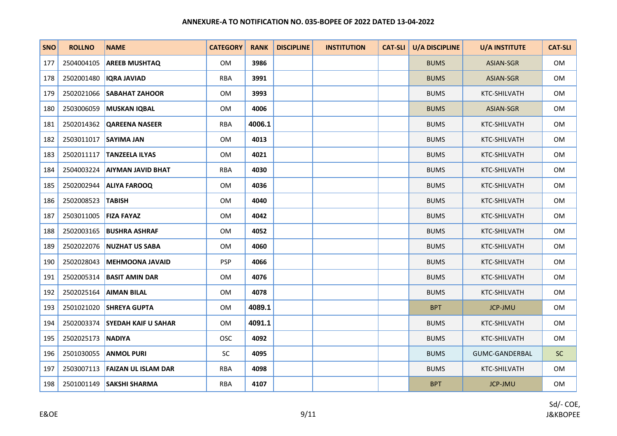| <b>SNO</b> | <b>ROLLNO</b> | <b>NAME</b>                    | <b>CATEGORY</b> | <b>RANK</b> | <b>DISCIPLINE</b> | <b>INSTITUTION</b> | <b>CAT-SLI</b> | <b>U/A DISCIPLINE</b> | <b>U/A INSTITUTE</b> | <b>CAT-SLI</b> |
|------------|---------------|--------------------------------|-----------------|-------------|-------------------|--------------------|----------------|-----------------------|----------------------|----------------|
| 177        | 2504004105    | <b>AREEB MUSHTAQ</b>           | <b>OM</b>       | 3986        |                   |                    |                | <b>BUMS</b>           | ASIAN-SGR            | OM             |
| 178        | 2502001480    | <b>IQRA JAVIAD</b>             | <b>RBA</b>      | 3991        |                   |                    |                | <b>BUMS</b>           | ASIAN-SGR            | <b>OM</b>      |
| 179        | 2502021066    | <b>SABAHAT ZAHOOR</b>          | OM              | 3993        |                   |                    |                | <b>BUMS</b>           | KTC-SHILVATH         | OM             |
| 180        | 2503006059    | <b>MUSKAN IQBAL</b>            | 0M              | 4006        |                   |                    |                | <b>BUMS</b>           | ASIAN-SGR            | OM             |
| 181        | 2502014362    | <b>QAREENA NASEER</b>          | <b>RBA</b>      | 4006.1      |                   |                    |                | <b>BUMS</b>           | KTC-SHILVATH         | OM             |
| 182        | 2503011017    | <b>SAYIMA JAN</b>              | <b>OM</b>       | 4013        |                   |                    |                | <b>BUMS</b>           | KTC-SHILVATH         | <b>OM</b>      |
| 183        | 2502011117    | <b>TANZEELA ILYAS</b>          | 0M              | 4021        |                   |                    |                | <b>BUMS</b>           | KTC-SHILVATH         | <b>OM</b>      |
| 184        | 2504003224    | <b>AIYMAN JAVID BHAT</b>       | <b>RBA</b>      | 4030        |                   |                    |                | <b>BUMS</b>           | KTC-SHILVATH         | OM             |
| 185        | 2502002944    | <b>ALIYA FAROOQ</b>            | OM              | 4036        |                   |                    |                | <b>BUMS</b>           | KTC-SHILVATH         | OM             |
| 186        | 2502008523    | <b>TABISH</b>                  | <b>OM</b>       | 4040        |                   |                    |                | <b>BUMS</b>           | KTC-SHILVATH         | <b>OM</b>      |
| 187        | 2503011005    | <b>FIZA FAYAZ</b>              | 0M              | 4042        |                   |                    |                | <b>BUMS</b>           | KTC-SHILVATH         | <b>OM</b>      |
| 188        | 2502003165    | <b>BUSHRA ASHRAF</b>           | <b>OM</b>       | 4052        |                   |                    |                | <b>BUMS</b>           | KTC-SHILVATH         | <b>OM</b>      |
| 189        | 2502022076    | <b>NUZHAT US SABA</b>          | <b>OM</b>       | 4060        |                   |                    |                | <b>BUMS</b>           | KTC-SHILVATH         | <b>OM</b>      |
| 190        | 2502028043    | <b>MEHMOONA JAVAID</b>         | <b>PSP</b>      | 4066        |                   |                    |                | <b>BUMS</b>           | KTC-SHILVATH         | OM             |
| 191        | 2502005314    | <b>BASIT AMIN DAR</b>          | 0M              | 4076        |                   |                    |                | <b>BUMS</b>           | KTC-SHILVATH         | 0M             |
| 192        | 2502025164    | <b>AIMAN BILAL</b>             | <b>OM</b>       | 4078        |                   |                    |                | <b>BUMS</b>           | KTC-SHILVATH         | OM             |
| 193        | 2501021020    | <b>SHREYA GUPTA</b>            | <b>OM</b>       | 4089.1      |                   |                    |                | <b>BPT</b>            | <b>JCP-JMU</b>       | <b>OM</b>      |
| 194        | 2502003374    | <b>SYEDAH KAIF U SAHAR</b>     | <b>OM</b>       | 4091.1      |                   |                    |                | <b>BUMS</b>           | KTC-SHILVATH         | <b>OM</b>      |
| 195        | 2502025173    | <b>NADIYA</b>                  | <b>OSC</b>      | 4092        |                   |                    |                | <b>BUMS</b>           | KTC-SHILVATH         | OM             |
| 196        | 2501030055    | <b>ANMOL PURI</b>              | <b>SC</b>       | 4095        |                   |                    |                | <b>BUMS</b>           | GUMC-GANDERBAL       | <b>SC</b>      |
| 197        |               | 2503007113 FAIZAN UL ISLAM DAR | <b>RBA</b>      | 4098        |                   |                    |                | <b>BUMS</b>           | KTC-SHILVATH         | OM             |
| 198        |               | 2501001149 SAKSHI SHARMA       | <b>RBA</b>      | 4107        |                   |                    |                | <b>BPT</b>            | <b>JCP-JMU</b>       | 0M             |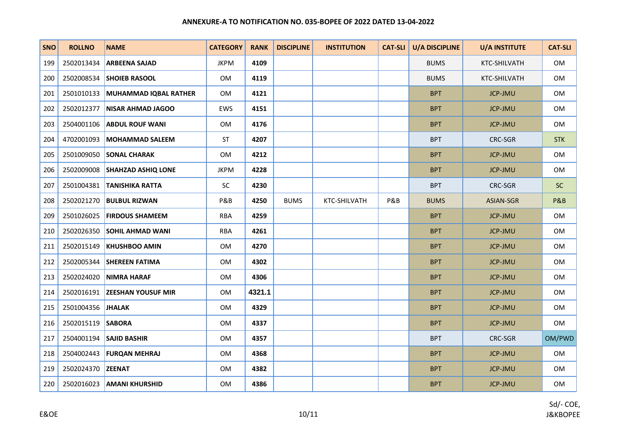| <b>SNO</b> | <b>ROLLNO</b> | <b>NAME</b>                 | <b>CATEGORY</b> | <b>RANK</b> | <b>DISCIPLINE</b> | <b>INSTITUTION</b> | <b>CAT-SLI</b> | <b>U/A DISCIPLINE</b> | <b>U/A INSTITUTE</b> | <b>CAT-SLI</b> |
|------------|---------------|-----------------------------|-----------------|-------------|-------------------|--------------------|----------------|-----------------------|----------------------|----------------|
| 199        | 2502013434    | <b>ARBEENA SAJAD</b>        | <b>JKPM</b>     | 4109        |                   |                    |                | <b>BUMS</b>           | KTC-SHILVATH         | OM             |
| 200        | 2502008534    | <b>SHOIEB RASOOL</b>        | 0M              | 4119        |                   |                    |                | <b>BUMS</b>           | KTC-SHILVATH         | 0M             |
| 201        | 2501010133    | MUHAMMAD IQBAL RATHER       | OМ              | 4121        |                   |                    |                | <b>BPT</b>            | JCP-JMU              | OM             |
| 202        | 2502012377    | NISAR AHMAD JAGOO           | EWS             | 4151        |                   |                    |                | <b>BPT</b>            | JCP-JMU              | OM             |
| 203        | 2504001106    | <b>ABDUL ROUF WANI</b>      | <b>OM</b>       | 4176        |                   |                    |                | <b>BPT</b>            | JCP-JMU              | <b>OM</b>      |
| 204        | 4702001093    | MOHAMMAD SALEEM             | ST              | 4207        |                   |                    |                | <b>BPT</b>            | <b>CRC-SGR</b>       | <b>STK</b>     |
| 205        | 2501009050    | <b>SONAL CHARAK</b>         | 0M              | 4212        |                   |                    |                | <b>BPT</b>            | JCP-JMU              | 0M             |
| 206        | 2502009008    | <b>SHAHZAD ASHIQ LONE</b>   | <b>JKPM</b>     | 4228        |                   |                    |                | <b>BPT</b>            | JCP-JMU              | <b>OM</b>      |
| 207        | 2501004381    | <b>TANISHIKA RATTA</b>      | SC              | 4230        |                   |                    |                | <b>BPT</b>            | <b>CRC-SGR</b>       | <b>SC</b>      |
| 208        | 2502021270    | <b>BULBUL RIZWAN</b>        | P&B             | 4250        | <b>BUMS</b>       | KTC-SHILVATH       | <b>P&amp;B</b> | <b>BUMS</b>           | <b>ASIAN-SGR</b>     | P&B            |
| 209        | 2501026025    | <b>FIRDOUS SHAMEEM</b>      | <b>RBA</b>      | 4259        |                   |                    |                | <b>BPT</b>            | JCP-JMU              | 0M             |
| 210        | 2502026350    | <b>SOHIL AHMAD WANI</b>     | <b>RBA</b>      | 4261        |                   |                    |                | <b>BPT</b>            | JCP-JMU              | OM             |
| 211        | 2502015149    | <b>KHUSHBOO AMIN</b>        | OM              | 4270        |                   |                    |                | <b>BPT</b>            | JCP-JMU              | OM             |
| 212        | 2502005344    | <b>SHEREEN FATIMA</b>       | OМ              | 4302        |                   |                    |                | <b>BPT</b>            | JCP-JMU              | OM             |
| 213        | 2502024020    | <b>NIMRA HARAF</b>          | 0M              | 4306        |                   |                    |                | <b>BPT</b>            | JCP-JMU              | <b>OM</b>      |
| 214        | 2502016191    | <b>ZEESHAN YOUSUF MIR</b>   | OM              | 4321.1      |                   |                    |                | <b>BPT</b>            | JCP-JMU              | OM             |
| 215        | 2501004356    | <b>JHALAK</b>               | <b>OM</b>       | 4329        |                   |                    |                | <b>BPT</b>            | JCP-JMU              | OM             |
| 216        | 2502015119    | <b>SABORA</b>               | 0M              | 4337        |                   |                    |                | <b>BPT</b>            | JCP-JMU              | OM             |
| 217        | 2504001194    | <b>SAJID BASHIR</b>         | OM              | 4357        |                   |                    |                | <b>BPT</b>            | <b>CRC-SGR</b>       | OM/PWD         |
| 218        | 2504002443    | <b>FURQAN MEHRAJ</b>        | <b>OM</b>       | 4368        |                   |                    |                | <b>BPT</b>            | JCP-JMU              | OM             |
| 219        | 2502024370    | <b>ZEENAT</b>               | <b>OM</b>       | 4382        |                   |                    |                | <b>BPT</b>            | JCP-JMU              | OM             |
| 220        |               | 2502016023   AMANI KHURSHID | 0M              | 4386        |                   |                    |                | <b>BPT</b>            | JCP-JMU              | OM             |